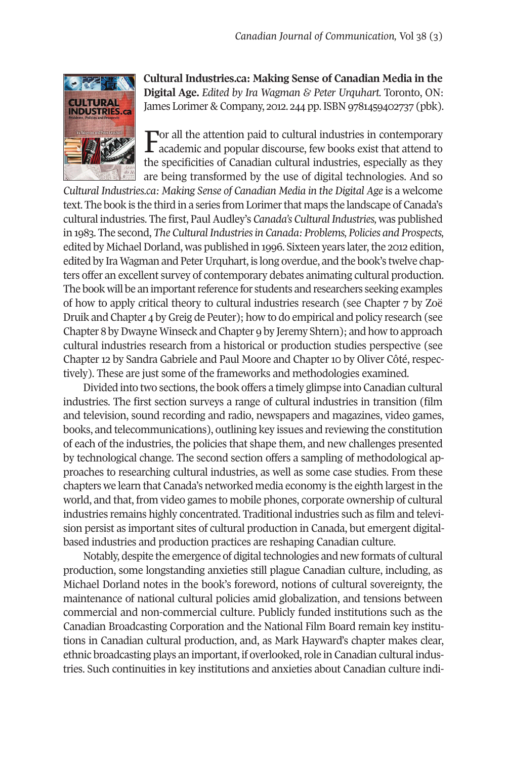

**Cultural Industries.ca: Making Sense of Canadian Media in the Digital Age.** *Edited by Ira Wagman & Peter Urquhart.* Toronto, ON: James Lorimer & Company, 2012. 244 pp.ISBN 9781459402737 (pbk).

For all the attention paid to cultural industries in contemporary  $\Gamma$  academic and popular discourse, few books exist that attend to the specificities of Canadian cultural industries, especially as they are being transformed by the use of digital technologies. And so

*Cultural Industries.ca: Making Sense of Canadian Media in the Digital Age* is a welcome text. The book is the third in a series from Lorimerthat maps the landscape of Canada's cultural industries. The first, PaulAudley's *Canada's CulturalIndustries,* was published in 1983. The second, *The CulturalIndustriesin Canada: Problems, Policies and Prospects,* edited by Michael Dorland, was published in 1996. Sixteen years later, the 2012 edition, edited by Ira Wagman and Peter Urquhart, is long overdue, and the book's twelve chapters offer an excellent survey of contemporary debates animating cultural production. The book will be an important reference for students and researchers seeking examples of how to apply critical theory to cultural industries research (see Chapter 7 by Zoë Druik and Chapter 4 byGreig de Peuter); how to do empirical and policy research (see Chapter 8 byDwayne Winseck and Chapter 9 by Jeremy Shtern); and how to approach cultural industries research from a historical or production studies perspective (see Chapter 12 by Sandra Gabriele and Paul Moore and Chapter 10 by Oliver Côté, respectively). These are just some of the frameworks and methodologies examined.

Divided into two sections, the book offers a timely glimpse into Canadian cultural industries. The first section surveys a range of cultural industries in transition (film and television, sound recording and radio, newspapers and magazines, video games, books, and telecommunications), outlining key issues and reviewing the constitution of each of the industries, the policies that shape them, and new challenges presented by technological change. The second section offers a sampling of methodological approaches to researching cultural industries, as well as some case studies. From these chapters we learn that Canada's networked media economy is the eighth largestin the world, and that, from video games to mobile phones, corporate ownership of cultural industries remains highly concentrated. Traditional industries such as film and television persist as important sites of cultural production in Canada, but emergent digitalbased industries and production practices are reshaping Canadian culture.

Notably, despite the emergence of digital technologies and new formats of cultural production, some longstanding anxieties still plague Canadian culture, including, as Michael Dorland notes in the book's foreword, notions of cultural sovereignty, the maintenance of national cultural policies amid globalization, and tensions between commercial and non-commercial culture. Publicly funded institutions such as the Canadian Broadcasting Corporation and the National Film Board remain key institutions in Canadian cultural production, and, as Mark Hayward's chapter makes clear, ethnic broadcasting plays an important, if overlooked, role in Canadian cultural industries. Such continuities in key institutions and anxieties about Canadian culture indi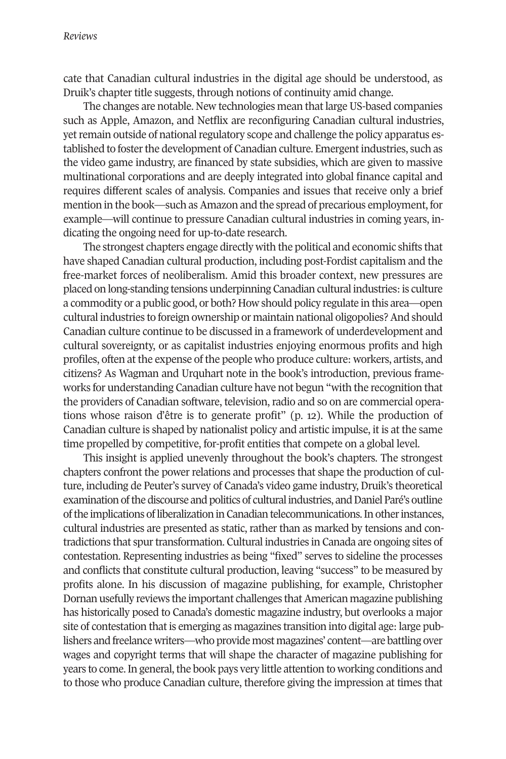cate that Canadian cultural industries in the digital age should be understood, as Druik's chapter title suggests, through notions of continuity amid change.

The changes are notable. New technologies mean that large US-based companies such as Apple, Amazon, and Netflix are reconfiguring Canadian cultural industries, yet remain outside of national regulatory scope and challenge the policy apparatus established to foster the development of Canadian culture. Emergent industries, such as the video game industry, are financed by state subsidies, which are given to massive multinational corporations and are deeply integrated into global finance capital and requires different scales of analysis. Companies and issues that receive only a brief mention in the book—such as Amazon and the spread of precarious employment, for example—will continue to pressure Canadian cultural industries in coming years, indicating the ongoing need for up-to-date research.

The strongest chapters engage directly with the political and economic shifts that have shaped Canadian cultural production, including post-Fordist capitalism and the free-market forces of neoliberalism. Amid this broader context, new pressures are placed on long-standing tensions underpinning Canadian cultural industries:is culture a commodity or a public good, or both? How should policy regulate in this area—open cultural industries to foreign ownership or maintain national oligopolies? And should Canadian culture continue to be discussed in a framework of underdevelopment and cultural sovereignty, or as capitalist industries enjoying enormous profits and high profiles, often at the expense of the people who produce culture: workers, artists, and citizens? As Wagman and Urquhart note in the book's introduction, previous frameworks for understanding Canadian culture have not begun "with the recognition that the providers of Canadian software, television, radio and so on are commercial operations whose raison d'être is to generate profit" (p. 12). While the production of Canadian culture is shaped by nationalist policy and artistic impulse, it is at the same time propelled by competitive, for-profit entities that compete on a global level.

This insight is applied unevenly throughout the book's chapters. The strongest chapters confront the power relations and processes that shape the production of culture, including de Peuter's survey of Canada's video game industry, Druik's theoretical examination of the discourse and politics of cultural industries, and Daniel Paré's outline of the implications of liberalization in Canadian telecommunications. In other instances, cultural industries are presented as static, rather than as marked by tensions and contradictions that spurtransformation. Cultural industries in Canada are ongoing sites of contestation. Representing industries as being "fixed" serves to sideline the processes and conflicts that constitute cultural production, leaving "success" to be measured by profits alone. In his discussion of magazine publishing, for example, Christopher Dornan usefully reviews the important challenges that American magazine publishing has historically posed to Canada's domestic magazine industry, but overlooks a major site of contestation that is emerging as magazines transition into digital age: large publishers and freelance writers—who provide most magazines' content—are battling over wages and copyright terms that will shape the character of magazine publishing for years to come. In general, the book pays very little attention to working conditions and to those who produce Canadian culture, therefore giving the impression at times that